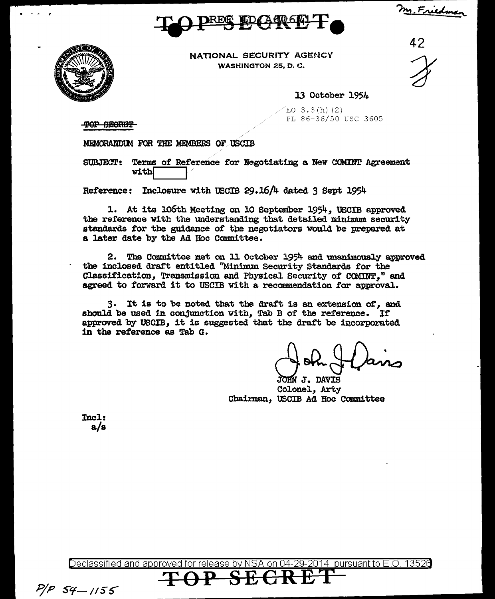m. Friedman





NATIONAL SECURITY AGENCY WASHINGTON 25, D.C.

 $\frac{42}{1}$ 

13 October 1954

 $EO$  3.3(h)(2) PL 86-36/50 USC 3605

TOP SECRET

MEMORANDUM FOR THE MEMBERS OF USCIB

Terms of Reference for Negotiating a New COMINT Agreement **SUBJECT:** with

Reference: Inclosure with USCIB 29.16/4 dated 3 Sept 1954

1. At its 106th Meeting on 10 September 1954. USCIB approved the reference with the understanding that detailed minimum security standards for the guidance of the negotiators would be prepared at a later date by the Ad Hoc Committee.

2. The Committee met on 11 October 1954 and unanimously approved the inclosed draft entitled "Minimum Security Standards for the Classification, Transmission and Physical Security of COMINT," and agreed to forward it to USCIB with a recommendation for approval.

3. It is to be noted that the draft is an extension of, and should be used in conjunction with, Tab B of the reference. If approved by USCIB, it is suggested that the draft be incorporated in the reference as Tab G.

JOHN J. DAVIS Colonel, Arty Chairman, USCIB Ad Hoc Committee

Incl:  $a/s$ 

Declassified and approved for release by NSA on 04 2014 pursuant to E.O. 13526

 $P/P$   $54 - 1155$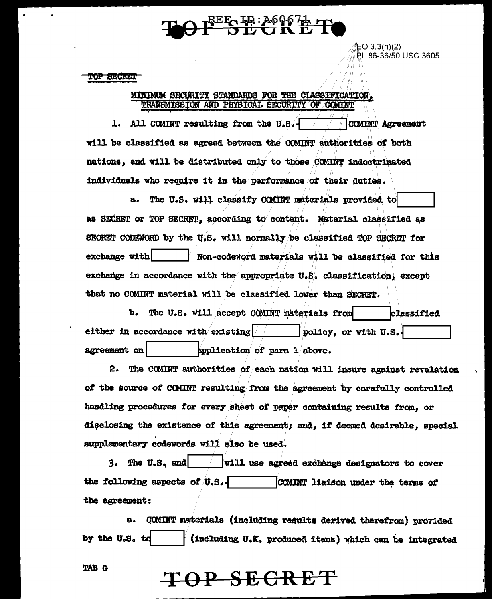# SE: 2695 Th Ti

EO 3.3(h)(2) PL 86-36/50 USC 3605

**TOP SECRET** 

#### MINIMUM SECURITY STANDARDS FOR THE CLASSIFICATION. TRANSMISSION AND PHYSICAL SECURITY OF COMINT

1. All COMINT resulting from the U.S.-**COMINT Agreement** will be classified as agreed between the COMINT authorities of both nations, and will be distributed only to those COMINT indoctrinated individuals who require it in the performance of their duties.

a. The U.S. will classify COMINT materials provided to as SECRET or TOP SECRET, according to content. Material classified as SECRET CODEWORD by the U.S. will normally be classified TOP SECRET for exchange with Non-codeword materials will be classified for this exchange in accordance with the appropriate U.S. classification, except that no COMINT material will be classified lower than SECRET.

The U.S. will accept COMINT materials from b. **classified** either in accordance with existing  $\sqrt{ }$ policy, or with U.S. agreement on application of para  $1$  above.

2. The COMINT authorities of each nation will insure against revelation of the source of COMINT resulting from the agreement by carefully controlled handling procedures for every sheet of paper containing results from. or disclosing the existence of this agreement; and, if deemed desirable, special supplementary codewords will also be used.

 $3.$  The U.S. and will use agreed exchange designators to cover the following aspects of  $\theta$ . S. COMINT liaison under the terms of the agreement:

a. COMINT materials (including results derived therefrom) provided (including U.K. produced items) which can be integrated by the U.S. td

**TAB G** 

## TOP SECRET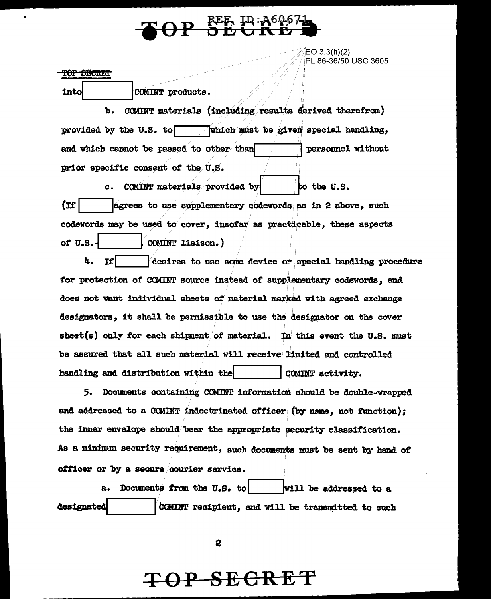

'jEO 3.3(h)(2) PL 86-36/50 USC 3605

#### TOP SECRET

into COMM products.

b. COMINT materials (including results derived therefrom) provided by the U.S. to **function** which must be given special handling, and which cannot be passed to other than  $\Box$  personnel without prior specific consent of the U.S.

c. COMINT materials provided by  $|$  to the U.S.  $\text{Tr}$  |  $\text{agrees}$  to use supplementary codewords as in 2 above, such codewords may be used to cover, insofar as practicable, these aspects of U.S.-  $\vert$  COMINT liaison.)

 $+$ . If  $|$   $\blacksquare$   $\blacksquare$  desires to use some device or special handling procedure for protection of COMINT source instead of supplementary codewords, and does not want individual sheets of material marked with agreed exchange designators, it shall be permissible to use the designator on the cover sheet(s) only for each shipment of material. In this event the U.S. must be assured that all such material will receive limited and controlled handling and distribution within the  $|$  COMINT activity.

5. Documents containing COMINT information should be double-wrapped and addressed to a COMINT indoctrinated officer (by name, not function); the inner envelope should bear the appropriate security classification. As a minimum security requirement, such documents must be sent by hand of officer or by a secure courier service.

a. Documents from the U.S. to  $\vert$  will be addressed to a designated *COMINT* recipient, and will be transmitted to such

2

## **TOP SECRET**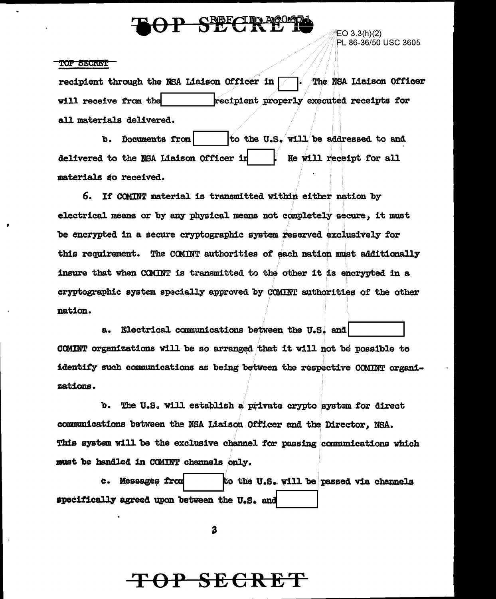## P SECRE

EO 3.3(h)(2) PL 86-36/50 USC 3605

#### **TOP SECRET**

recipient through the NSA Liaison Officer in The NSA Liaison Officer will receive from the recipient properly executed receipts for all materials delivered.

to the U.S. will be addressed to and b. Documents from delivered to the NSA Liaison Officer in He will receipt for all materials so received.

6. If COMINT material is transmitted within either nation by electrical means or by any physical means not completely secure. it must be encrypted in a secure cryptographic system reserved exclusively for this requirement. The COMINT authorities of each nation must additionally insure that when COMINT is transmitted to the other it is encrypted in a cryptographic system specially approved by COMINT authorities of the other nation.

a. Electrical communications between the U.S. and COMINT organizations will be so arranged that it will not be possible to identify such communications as being between the respective COMINT organizations.

b. The U.S. will establish a private crypto system for direct communications between the NSA Liaison Officer and the Director, NSA. This system will be the exclusive channel for passing communications which must be handled in COMINT channels only.

c. Messages from to the U.S. will be passed via channels specifically agreed upon between the U.S. and

3

### <del>OP SECRE</del>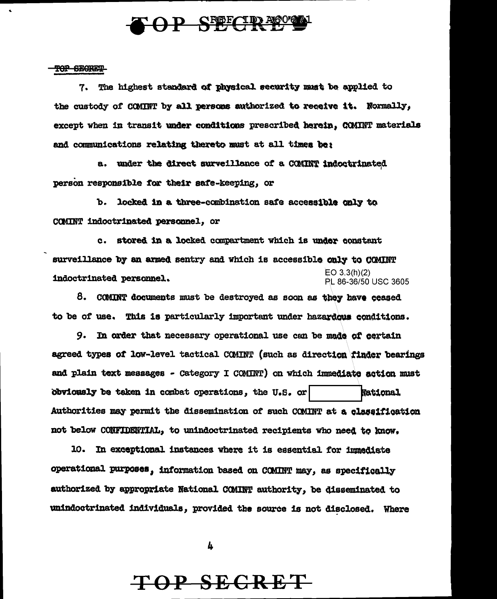

#### TOP SECRET

 $\bullet$ 

7. The highest standard of physical security must be applied to the custody of COMINT by all persons authorized to receive it. Normally, except when in transit under conditions prescribed herein. COMINT materials and communications relating thereto must at all times be:

a. under the direct surveillance of a COMINT indoctrinated person responsible for their safe-keeping, or

b. locked in a three-combination safe accessible only to COMINT indoctrinated personnel, or

c. stored in a locked compartment which is under constant surveillance by an armed sentry and which is accessible only to COMINT  $EO 3.3(h)(2)$ indoctrinated personnel. PL 86-36/50 USC 3605

8. COMINT documents must be destroyed as soon as they have ceased to be of use. This is particularly important under hazardous conditions.

9. In order that necessary operational use can be made of certain agreed types of low-level tactical COMINT (such as direction finder bearings and plain text messages - Category I COMINT) on which immediate action must obviously be taken in combat operations, the U.S. or National Authorities may permit the dissemination of such COMINT at a classification not below CONFIDENTIAL, to unindoctrinated recipients who need to know.

10. In exceptional instances where it is essential for immediate operational purposes, information based on COMINT may, as specifically authorized by appropriate National COMINT authority, be disseminated to unindoctrinated individuals, provided the source is not disclosed. Where

4

# TOP SECRET